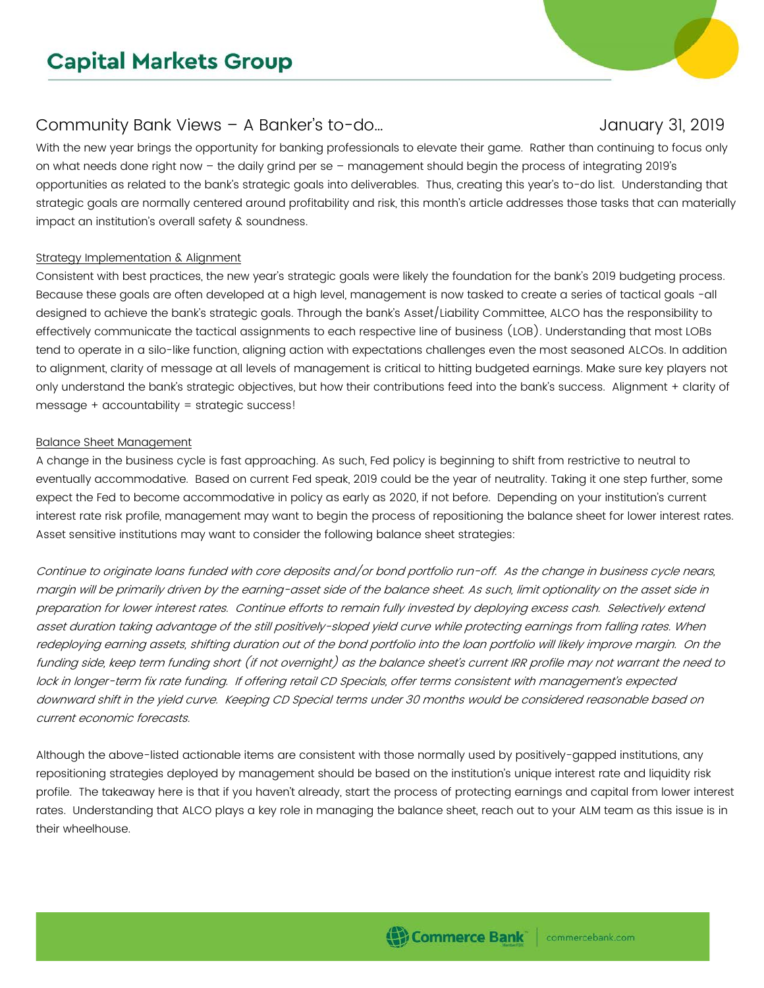# **Capital Markets Group**

## Community Bank Views – A Banker's to-do…

With the new year brings the opportunity for banking professionals to elevate their game. Rather than continuing to focus only on what needs done right now – the daily grind per se – management should begin the process of integrating 2019's opportunities as related to the bank's strategic goals into deliverables. Thus, creating this year's to-do list. Understanding that strategic goals are normally centered around profitability and risk, this month's article addresses those tasks that can materially impact an institution's overall safety & soundness.

### Strategy Implementation & Alignment

Consistent with best practices, the new year's strategic goals were likely the foundation for the bank's 2019 budgeting process. Because these goals are often developed at a high level, management is now tasked to create a series of tactical goals -all designed to achieve the bank's strategic goals. Through the bank's Asset/Liability Committee, ALCO has the responsibility to effectively communicate the tactical assignments to each respective line of business (LOB). Understanding that most LOBs tend to operate in a silo-like function, aligning action with expectations challenges even the most seasoned ALCOs. In addition to alignment, clarity of message at all levels of management is critical to hitting budgeted earnings. Make sure key players not only understand the bank's strategic objectives, but how their contributions feed into the bank's success. Alignment + clarity of message + accountability = strategic success!

#### Balance Sheet Management

A change in the business cycle is fast approaching. As such, Fed policy is beginning to shift from restrictive to neutral to eventually accommodative. Based on current Fed speak, 2019 could be the year of neutrality. Taking it one step further, some expect the Fed to become accommodative in policy as early as 2020, if not before. Depending on your institution's current interest rate risk profile, management may want to begin the process of repositioning the balance sheet for lower interest rates. Asset sensitive institutions may want to consider the following balance sheet strategies:

Continue to originate loans funded with core deposits and/or bond portfolio run-off. As the change in business cycle nears, margin will be primarily driven by the earning-asset side of the balance sheet. As such, limit optionality on the asset side in preparation for lower interest rates. Continue efforts to remain fully invested by deploying excess cash. Selectively extend asset duration taking advantage of the still positively-sloped yield curve while protecting earnings from falling rates. When redeploying earning assets, shifting duration out of the bond portfolio into the loan portfolio will likely improve margin. On the funding side, keep term funding short (if not overnight) as the balance sheet's current IRR profile may not warrant the need to lock in longer-term fix rate funding. If offering retail CD Specials, offer terms consistent with management's expected downward shift in the yield curve. Keeping CD Special terms under 30 months would be considered reasonable based on current economic forecasts.

Although the above-listed actionable items are consistent with those normally used by positively-gapped institutions, any repositioning strategies deployed by management should be based on the institution's unique interest rate and liquidity risk profile. The takeaway here is that if you haven't already, start the process of protecting earnings and capital from lower interest rates. Understanding that ALCO plays a key role in managing the balance sheet, reach out to your ALM team as this issue is in their wheelhouse.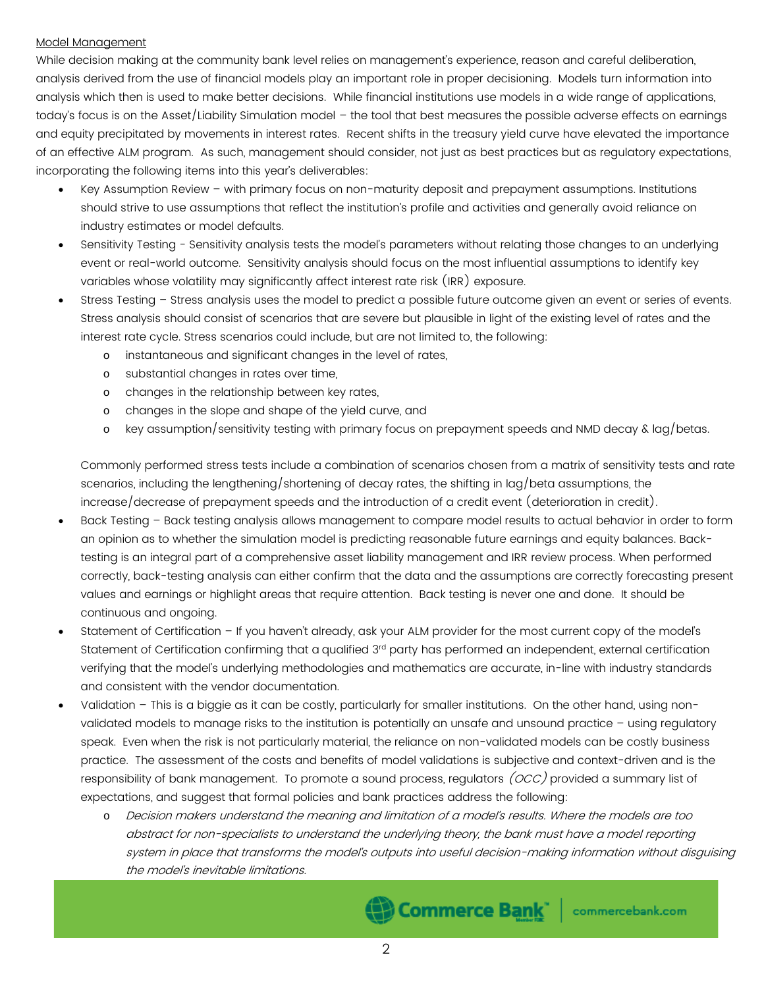### Model Management

While decision making at the community bank level relies on management's experience, reason and careful deliberation, analysis derived from the use of financial models play an important role in proper decisioning. Models turn information into analysis which then is used to make better decisions. While financial institutions use models in a wide range of applications, today's focus is on the Asset/Liability Simulation model – the tool that best measures the possible adverse effects on earnings and equity precipitated by movements in interest rates. Recent shifts in the treasury yield curve have elevated the importance of an effective ALM program. As such, management should consider, not just as best practices but as regulatory expectations, incorporating the following items into this year's deliverables:

- Key Assumption Review with primary focus on non-maturity deposit and prepayment assumptions. Institutions should strive to use assumptions that reflect the institution's profile and activities and generally avoid reliance on industry estimates or model defaults.
- Sensitivity Testing Sensitivity analysis tests the model's parameters without relating those changes to an underlying event or real-world outcome. Sensitivity analysis should focus on the most influential assumptions to identify key variables whose volatility may significantly affect interest rate risk (IRR) exposure.
- Stress Testing Stress analysis uses the model to predict a possible future outcome given an event or series of events. Stress analysis should consist of scenarios that are severe but plausible in light of the existing level of rates and the interest rate cycle. Stress scenarios could include, but are not limited to, the following:
	- o instantaneous and significant changes in the level of rates,
	- o substantial changes in rates over time,
	- o changes in the relationship between key rates,
	- changes in the slope and shape of the yield curve, and
	- o key assumption/sensitivity testing with primary focus on prepayment speeds and NMD decay & lag/betas.

Commonly performed stress tests include a combination of scenarios chosen from a matrix of sensitivity tests and rate scenarios, including the lengthening/shortening of decay rates, the shifting in lag/beta assumptions, the increase/decrease of prepayment speeds and the introduction of a credit event (deterioration in credit).

- Back Testing Back testing analysis allows management to compare model results to actual behavior in order to form an opinion as to whether the simulation model is predicting reasonable future earnings and equity balances. Backtesting is an integral part of a comprehensive asset liability management and IRR review process. When performed correctly, back-testing analysis can either confirm that the data and the assumptions are correctly forecasting present values and earnings or highlight areas that require attention. Back testing is never one and done. It should be continuous and ongoing.
- Statement of Certification If you haven't already, ask your ALM provider for the most current copy of the model's Statement of Certification confirming that a qualified 3rd party has performed an independent, external certification verifying that the model's underlying methodologies and mathematics are accurate, in-line with industry standards and consistent with the vendor documentation.
- Validation This is a biggie as it can be costly, particularly for smaller institutions. On the other hand, using nonvalidated models to manage risks to the institution is potentially an unsafe and unsound practice – using regulatory speak. Even when the risk is not particularly material, the reliance on non-validated models can be costly business practice. The assessment of the costs and benefits of model validations is subjective and context-driven and is the responsibility of bank management. To promote a sound process, regulators (OCC) provided a summary list of expectations, and suggest that formal policies and bank practices address the following:
	- o Decision makers understand the meaning and limitation of a model's results. Where the models are too abstract for non-specialists to understand the underlying theory, the bank must have a model reporting system in place that transforms the model's outputs into useful decision-making information without disguising the model's inevitable limitations.